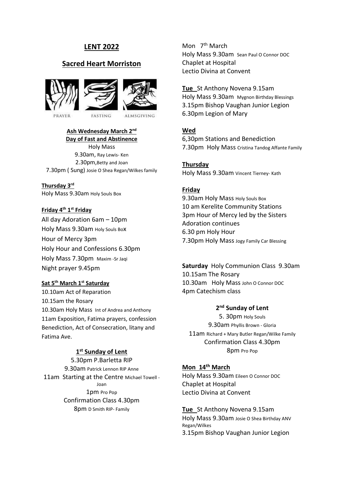# **LENT 2022**

# **Sacred Heart Morriston**





**ALMSGIVING** 

### **Ash Wednesday March 2nd Day of Fast and Abstinence**

**FASTING** 

Holy Mass 9.30am, Ray Lewis- Ken 2.30pm,Betty and Joan 7.30pm ( Sung) Josie O Shea Regan/Wilkes family

**Thursday 3rd** Holy Mass 9.30am Holy Souls Box

### **Friday 4th 1 st Friday**

All day Adoration 6am – 10pm Holy Mass 9.30am Holy Souls Box Hour of Mercy 3pm Holy Hour and Confessions 6.30pm Holy Mass 7.30pm Maxim -Sr Jaqi Night prayer 9.45pm

# **Sat 5th March 1st Saturday**

10.10am Act of Reparation 10.15am the Rosary 10.30am Holy Mass Int of Andrea and Anthony 11am Exposition, Fatima prayers, confession Benediction, Act of Consecration, litany and Fatima Ave.

# **1 st Sunday of Lent**

5.30pm P.Barletta RIP 9.30am Patrick Lennon RIP Anne 11am Starting at the Centre Michael Towell -Joan 1pm Pro Pop Confirmation Class 4.30pm 8pm D Smith RIP- Family

Mon 7<sup>th</sup> March Holy Mass 9.30am Sean Paul O Connor DOC Chaplet at Hospital Lectio Divina at Convent

## **Tue** St Anthony Novena 9.15am

Holy Mass 9.30am Mygnon Birthday Blessings 3.15pm Bishop Vaughan Junior Legion 6.30pm Legion of Mary

# **Wed**

6,30pm Stations and Benediction 7.30pm Holy Mass Cristina Tandog Affante Family

**Thursday**  Holy Mass 9.30am Vincent Tierney- Kath

## **Friday**

9.30am Holy Mass Holy Souls Box 10 am Kerelite Community Stations 3pm Hour of Mercy led by the Sisters Adoration continues 6.30 pm Holy Hour 7.30pm Holy Mass Jogy Family Car Blessing

**Saturday** Holy Communion Class 9.30am 10.15am The Rosary 10.30am Holy Mass John O Connor DOC 4pm Catechism class

# **2 nd Sunday of Lent**

5. 30pm Holy Souls 9.30am Phyllis Brown - Gloria 11am Richard + Mary Butler Regan/Wilke Family Confirmation Class 4.30pm 8pm Pro Pop

# **Mon 14th March**

Holy Mass 9.30am Eileen O Connor DOC Chaplet at Hospital Lectio Divina at Convent

**Tue** St Anthony Novena 9.15am Holy Mass 9.30am Josie O Shea Birthday ANV Regan/Wilkes 3.15pm Bishop Vaughan Junior Legion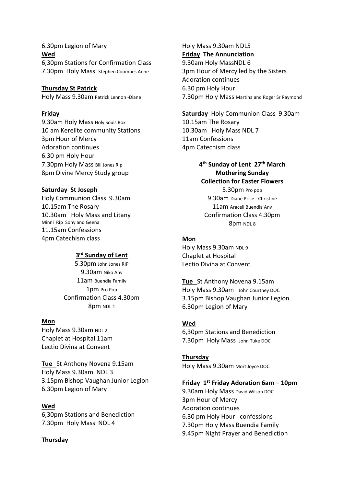6.30pm Legion of Mary **Wed**  6,30pm Stations for Confirmation Class 7.30pm Holy Mass Stephen Coombes Anne

# **Thursday St Patrick**

Holy Mass 9.30am Patrick Lennon -Diane

#### **Friday**

9.30am Holy Mass Holy Souls Box 10 am Kerelite community Stations 3pm Hour of Mercy Adoration continues 6.30 pm Holy Hour 7.30pm Holy Mass Bill Jones RIp 8pm Divine Mercy Study group

#### **Saturday St Joseph**

Holy Communion Class 9.30am 10.15am The Rosary 10.30am Holy Mass and Litany Minni Rip Sony and Geena 11.15am Confessions 4pm Catechism class

## **3 rd Sunday of Lent**

5.30pm John Jones RIP 9.30am Niko Anv 11am Buendia Family 1pm Pro Pop Confirmation Class 4.30pm 8pm NDL 1

#### **Mon**

Holy Mass 9.30am NDL 2 Chaplet at Hospital 11am Lectio Divina at Convent

**Tue** St Anthony Novena 9.15am Holy Mass 9.30am NDL 3 3.15pm Bishop Vaughan Junior Legion 6.30pm Legion of Mary

#### **Wed**

6,30pm Stations and Benediction 7.30pm Holy Mass NDL 4

#### **Thursday**

Holy Mass 9.30am NDL5 **Friday The Annunciation** 9.30am Holy MassNDL 6 3pm Hour of Mercy led by the Sisters Adoration continues 6.30 pm Holy Hour 7.30pm Holy Mass Martina and Roger Sr Raymond

**Saturday** Holy Communion Class 9.30am 10.15am The Rosary 10.30am Holy Mass NDL 7 11am Confessions 4pm Catechism class

# **4 th Sunday of Lent 27th March Mothering Sunday Collection for Easter Flowers** 5.30pm Pro pop

9.30am Diane Price - Christine 11am Araceli Buendia Anv Confirmation Class 4.30pm 8pm NDL 8

# **Mon**

Holy Mass 9.30am NDL 9 Chaplet at Hospital Lectio Divina at Convent

**Tue** St Anthony Novena 9.15am Holy Mass 9.30am John Courtney DOC 3.15pm Bishop Vaughan Junior Legion 6.30pm Legion of Mary

#### **Wed**

6,30pm Stations and Benediction 7.30pm Holy Mass John Tuke DOC

**Thursday**  Holy Mass 9.30am Mort Joyce DOC

## **Friday 1 st Friday Adoration 6am – 10pm**

9.30am Holy Mass David Wilson DOC 3pm Hour of Mercy Adoration continues 6.30 pm Holy Hour confessions 7.30pm Holy Mass Buendia Family 9.45pm Night Prayer and Benediction